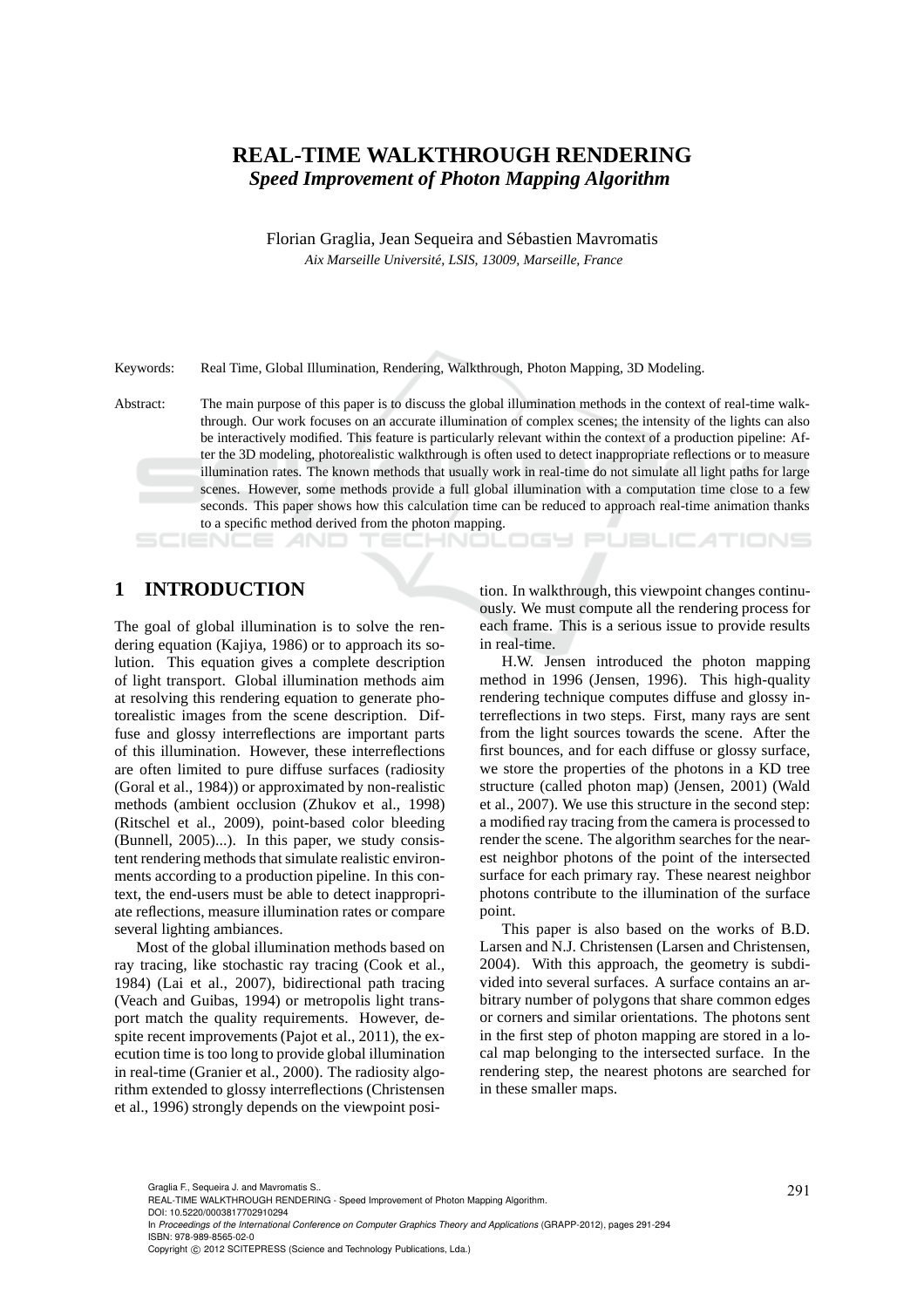# **REAL-TIME WALKTHROUGH RENDERING** *Speed Improvement of Photon Mapping Algorithm*

Florian Graglia, Jean Sequeira and Sébastien Mavromatis *Aix Marseille Universit´e, LSIS, 13009, Marseille, France*

Keywords: Real Time, Global Illumination, Rendering, Walkthrough, Photon Mapping, 3D Modeling.

Abstract: The main purpose of this paper is to discuss the global illumination methods in the context of real-time walkthrough. Our work focuses on an accurate illumination of complex scenes; the intensity of the lights can also be interactively modified. This feature is particularly relevant within the context of a production pipeline: After the 3D modeling, photorealistic walkthrough is often used to detect inappropriate reflections or to measure illumination rates. The known methods that usually work in real-time do not simulate all light paths for large scenes. However, some methods provide a full global illumination with a computation time close to a few seconds. This paper shows how this calculation time can be reduced to approach real-time animation thanks to a specific method derived from the photon mapping.

## **1 INTRODUCTION**

The goal of global illumination is to solve the rendering equation (Kajiya, 1986) or to approach its solution. This equation gives a complete description of light transport. Global illumination methods aim at resolving this rendering equation to generate photorealistic images from the scene description. Diffuse and glossy interreflections are important parts of this illumination. However, these interreflections are often limited to pure diffuse surfaces (radiosity (Goral et al., 1984)) or approximated by non-realistic methods (ambient occlusion (Zhukov et al., 1998) (Ritschel et al., 2009), point-based color bleeding (Bunnell, 2005)...). In this paper, we study consistent rendering methods that simulate realistic environments according to a production pipeline. In this context, the end-users must be able to detect inappropriate reflections, measure illumination rates or compare several lighting ambiances.

Most of the global illumination methods based on ray tracing, like stochastic ray tracing (Cook et al., 1984) (Lai et al., 2007), bidirectional path tracing (Veach and Guibas, 1994) or metropolis light transport match the quality requirements. However, despite recent improvements (Pajot et al., 2011), the execution time is too long to provide global illumination in real-time (Granier et al., 2000). The radiosity algorithm extended to glossy interreflections (Christensen et al., 1996) strongly depends on the viewpoint posi-

tion. In walkthrough, this viewpoint changes continuously. We must compute all the rendering process for each frame. This is a serious issue to provide results in real-time.

HNOLOGY PUBLIC ATIONS

H.W. Jensen introduced the photon mapping method in 1996 (Jensen, 1996). This high-quality rendering technique computes diffuse and glossy interreflections in two steps. First, many rays are sent from the light sources towards the scene. After the first bounces, and for each diffuse or glossy surface, we store the properties of the photons in a KD tree structure (called photon map) (Jensen, 2001) (Wald et al., 2007). We use this structure in the second step: a modified ray tracing from the camera is processed to render the scene. The algorithm searches for the nearest neighbor photons of the point of the intersected surface for each primary ray. These nearest neighbor photons contribute to the illumination of the surface point.

This paper is also based on the works of B.D. Larsen and N.J. Christensen (Larsen and Christensen, 2004). With this approach, the geometry is subdivided into several surfaces. A surface contains an arbitrary number of polygons that share common edges or corners and similar orientations. The photons sent in the first step of photon mapping are stored in a local map belonging to the intersected surface. In the rendering step, the nearest photons are searched for in these smaller maps.

DOI: 10.5220/0003817702910294

In *Proceedings of the International Conference on Computer Graphics Theory and Applications* (GRAPP-2012), pages 291-294 ISBN: 978-989-8565-02-0

Graglia F., Sequeira J. and Mavromatis S..<br>REAL-TIME WALKTHROUGH RENDERING - Speed Improvement of Photon Mapping Algorithm.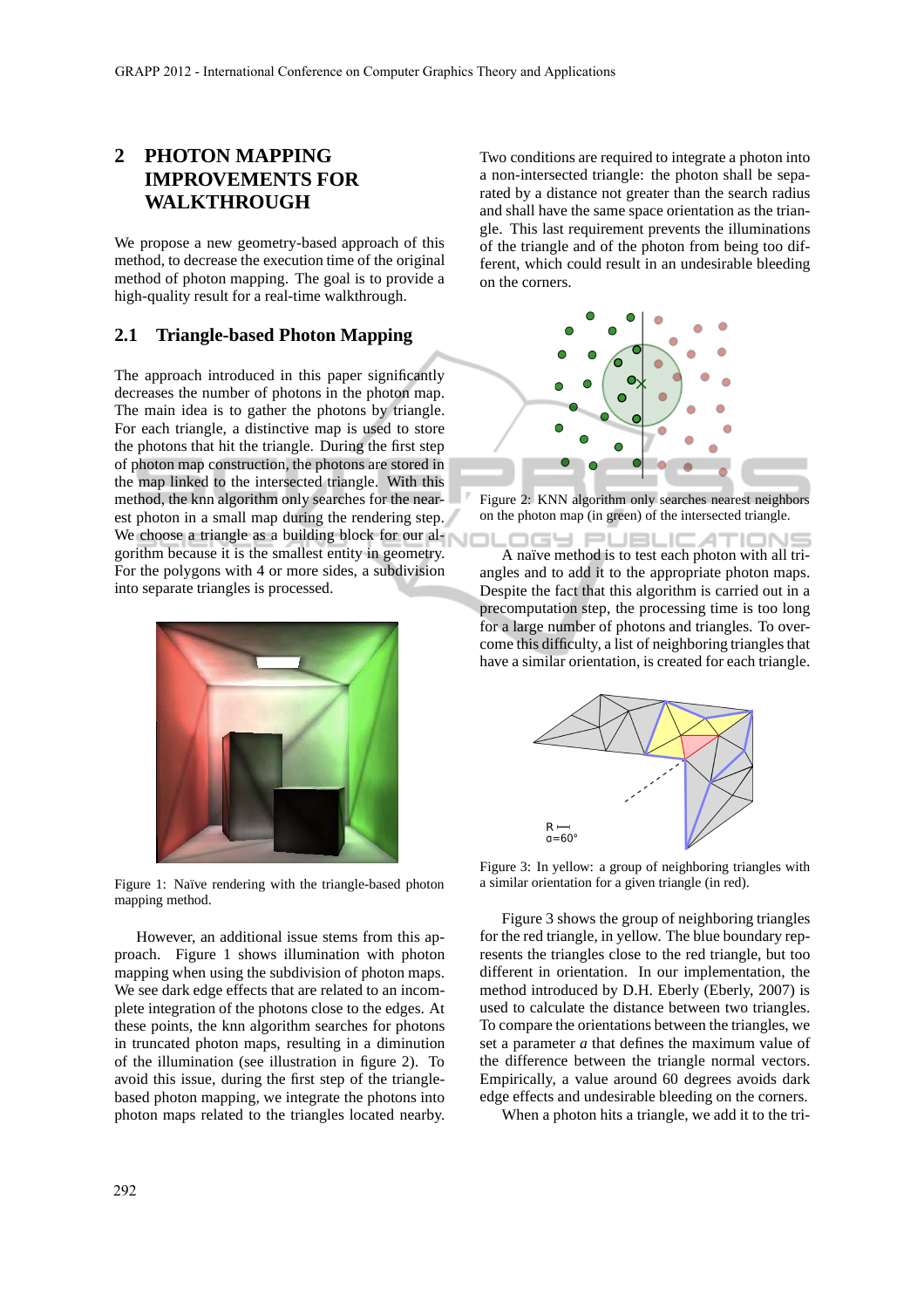# **2 PHOTON MAPPING IMPROVEMENTS FOR WALKTHROUGH**

We propose a new geometry-based approach of this method, to decrease the execution time of the original method of photon mapping. The goal is to provide a high-quality result for a real-time walkthrough.

### **2.1 Triangle-based Photon Mapping**

The approach introduced in this paper significantly decreases the number of photons in the photon map. The main idea is to gather the photons by triangle. For each triangle, a distinctive map is used to store the photons that hit the triangle. During the first step of photon map construction, the photons are stored in the map linked to the intersected triangle. With this method, the knn algorithm only searches for the nearest photon in a small map during the rendering step. We choose a triangle as a building block for our algorithm because it is the smallest entity in geometry. For the polygons with 4 or more sides, a subdivision into separate triangles is processed.



Figure 1: Naïve rendering with the triangle-based photon mapping method.

However, an additional issue stems from this approach. Figure 1 shows illumination with photon mapping when using the subdivision of photon maps. We see dark edge effects that are related to an incomplete integration of the photons close to the edges. At these points, the knn algorithm searches for photons in truncated photon maps, resulting in a diminution of the illumination (see illustration in figure 2). To avoid this issue, during the first step of the trianglebased photon mapping, we integrate the photons into photon maps related to the triangles located nearby. Two conditions are required to integrate a photon into a non-intersected triangle: the photon shall be separated by a distance not greater than the search radius and shall have the same space orientation as the triangle. This last requirement prevents the illuminations of the triangle and of the photon from being too different, which could result in an undesirable bleeding on the corners.



Figure 2: KNN algorithm only searches nearest neighbors on the photon map (in green) of the intersected triangle.

**DGY PUBLICATIONS** A naïve method is to test each photon with all triangles and to add it to the appropriate photon maps. Despite the fact that this algorithm is carried out in a precomputation step, the processing time is too long for a large number of photons and triangles. To overcome this difficulty, a list of neighboring triangles that have a similar orientation, is created for each triangle.



Figure 3: In yellow: a group of neighboring triangles with a similar orientation for a given triangle (in red).

Figure 3 shows the group of neighboring triangles for the red triangle, in yellow. The blue boundary represents the triangles close to the red triangle, but too different in orientation. In our implementation, the method introduced by D.H. Eberly (Eberly, 2007) is used to calculate the distance between two triangles. To compare the orientations between the triangles, we set a parameter *a* that defines the maximum value of the difference between the triangle normal vectors. Empirically, a value around 60 degrees avoids dark edge effects and undesirable bleeding on the corners.

When a photon hits a triangle, we add it to the tri-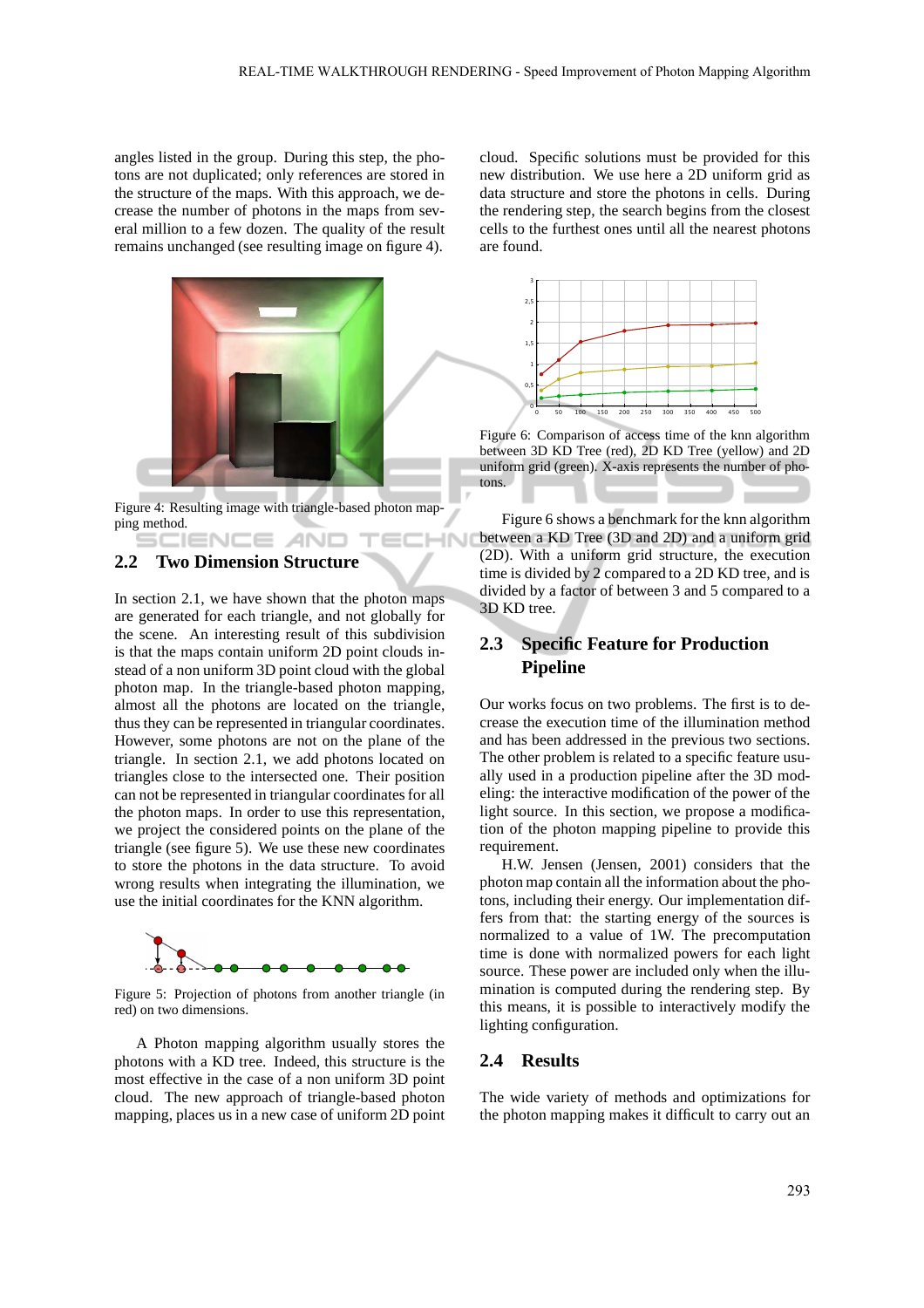angles listed in the group. During this step, the photons are not duplicated; only references are stored in the structure of the maps. With this approach, we decrease the number of photons in the maps from several million to a few dozen. The quality of the result remains unchanged (see resulting image on figure 4).



Figure 4: Resulting image with triangle-based photon mapping method. ENCE *A*ND "

**ECHNI** 

### **2.2 Two Dimension Structure**

In section 2.1, we have shown that the photon maps are generated for each triangle, and not globally for the scene. An interesting result of this subdivision is that the maps contain uniform 2D point clouds instead of a non uniform 3D point cloud with the global photon map. In the triangle-based photon mapping, almost all the photons are located on the triangle, thus they can be represented in triangular coordinates. However, some photons are not on the plane of the triangle. In section 2.1, we add photons located on triangles close to the intersected one. Their position can not be represented in triangular coordinates for all the photon maps. In order to use this representation, we project the considered points on the plane of the triangle (see figure 5). We use these new coordinates to store the photons in the data structure. To avoid wrong results when integrating the illumination, we use the initial coordinates for the KNN algorithm.



Figure 5: Projection of photons from another triangle (in red) on two dimensions.

A Photon mapping algorithm usually stores the photons with a KD tree. Indeed, this structure is the most effective in the case of a non uniform 3D point cloud. The new approach of triangle-based photon mapping, places us in a new case of uniform 2D point cloud. Specific solutions must be provided for this new distribution. We use here a 2D uniform grid as data structure and store the photons in cells. During the rendering step, the search begins from the closest cells to the furthest ones until all the nearest photons are found.



Figure 6: Comparison of access time of the knn algorithm between 3D KD Tree (red), 2D KD Tree (yellow) and 2D uniform grid (green). X-axis represents the number of photons.

Figure 6 shows a benchmark for the knn algorithm between a KD Tree (3D and 2D) and a uniform grid (2D). With a uniform grid structure, the execution time is divided by 2 compared to a 2D KD tree, and is divided by a factor of between 3 and 5 compared to a 3D KD tree.

### **2.3 Specific Feature for Production Pipeline**

Our works focus on two problems. The first is to decrease the execution time of the illumination method and has been addressed in the previous two sections. The other problem is related to a specific feature usually used in a production pipeline after the 3D modeling: the interactive modification of the power of the light source. In this section, we propose a modification of the photon mapping pipeline to provide this requirement.

H.W. Jensen (Jensen, 2001) considers that the photon map contain all the information about the photons, including their energy. Our implementation differs from that: the starting energy of the sources is normalized to a value of 1W. The precomputation time is done with normalized powers for each light source. These power are included only when the illumination is computed during the rendering step. By this means, it is possible to interactively modify the lighting configuration.

### **2.4 Results**

The wide variety of methods and optimizations for the photon mapping makes it difficult to carry out an